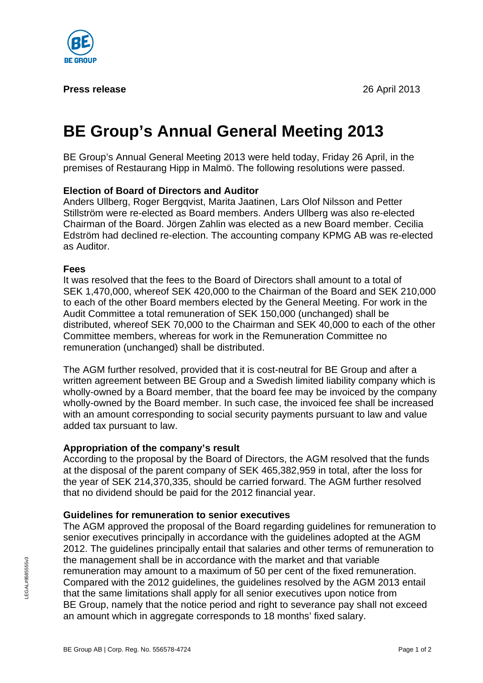

#### **Press release** 26 April 2013

# **BE Group's Annual General Meeting 2013**

BE Group's Annual General Meeting 2013 were held today, Friday 26 April, in the premises of Restaurang Hipp in Malmö. The following resolutions were passed.

# **Election of Board of Directors and Auditor**

Anders Ullberg, Roger Bergqvist, Marita Jaatinen, Lars Olof Nilsson and Petter Stillström were re-elected as Board members. Anders Ullberg was also re-elected Chairman of the Board. Jörgen Zahlin was elected as a new Board member. Cecilia Edström had declined re-election. The accounting company KPMG AB was re-elected as Auditor.

### **Fees**

It was resolved that the fees to the Board of Directors shall amount to a total of SEK 1,470,000, whereof SEK 420,000 to the Chairman of the Board and SEK 210,000 to each of the other Board members elected by the General Meeting. For work in the Audit Committee a total remuneration of SEK 150,000 (unchanged) shall be distributed, whereof SEK 70,000 to the Chairman and SEK 40,000 to each of the other Committee members, whereas for work in the Remuneration Committee no remuneration (unchanged) shall be distributed.

The AGM further resolved, provided that it is cost-neutral for BE Group and after a written agreement between BE Group and a Swedish limited liability company which is wholly-owned by a Board member, that the board fee may be invoiced by the company wholly-owned by the Board member. In such case, the invoiced fee shall be increased with an amount corresponding to social security payments pursuant to law and value added tax pursuant to law.

### **Appropriation of the company's result**

According to the proposal by the Board of Directors, the AGM resolved that the funds at the disposal of the parent company of SEK 465,382,959 in total, after the loss for the year of SEK 214,370,335, should be carried forward. The AGM further resolved that no dividend should be paid for the 2012 financial year.

### **Guidelines for remuneration to senior executives**

The AGM approved the proposal of the Board regarding guidelines for remuneration to senior executives principally in accordance with the guidelines adopted at the AGM 2012. The guidelines principally entail that salaries and other terms of remuneration to the management shall be in accordance with the market and that variable remuneration may amount to a maximum of 50 per cent of the fixed remuneration. Compared with the 2012 guidelines, the guidelines resolved by the AGM 2013 entail that the same limitations shall apply for all senior executives upon notice from BE Group, namely that the notice period and right to severance pay shall not exceed an amount which in aggregate corresponds to 18 months' fixed salary.